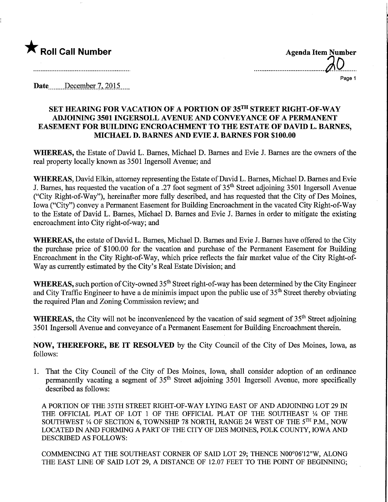

Page 1

Date......... December 7, 2015....

## SET HEARING FOR VACATION OF A PORTION OF 35™ STREET MGHT-OF-WAY ADJOINING 3501 INGERSOLL AVENUE AND CONVEYANCE OF A PERMANENT EASEMENT FOR BUILDING ENCROACHMENT TO THE ESTATE OF DAVID L. BARNES, MICHAEL D. BARNES AND EVIE J. BARNES FOR \$100.00

WHEREAS, the Estate of David L. Bames, Michael D. Bames and Evie J. Bames are the owners of the real property locally known as 3501 Ingersoll Avenue; and

WHEREAS, David Elkin, attorney representing the Estate of David L. Barnes, Michael D. Bames and Evie J. Barnes, has requested the vacation of a .27 foot segment of 35<sup>th</sup> Street adjoining 3501 Ingersoll Avenue ("City Right-of-Way"), hereinafter more fully described, and has requested that the City of Des Moines, Iowa ("City") convey a Permanent Easement for Building Encroachment in the vacated City Right-of-Way to the Estate of David L. Bames, Michael D. Barnes and Evie J. Bames in order to mitigate the existing encroachment into City right-of-way; and

WHEREAS, the estate of David L. Bames, Michael D. Bames and Evie J. Bames have offered to the City the purchase price of \$100.00 for the vacation and purchase of the Permanent Easement for Building Encroachment in the City Right-of-Way, which price reflects the fair market value of the City Right-of-Way as currently estimated by the City's Real Estate Division; and

WHEREAS, such portion of City-owned 35<sup>th</sup> Street right-of-way has been determined by the City Engineer and City Traffic Engineer to have a de minimis impact upon the public use of 35<sup>th</sup> Street thereby obviating the required Plan and Zoning Commission review; and

WHEREAS, the City will not be inconvenienced by the vacation of said segment of  $35<sup>th</sup>$  Street adjoining 3501 Ingersoll Avenue and conveyance of a Permanent Easement for Building Encroachment therein.

NOW, THEREFORE, BE IT RESOLVED by the City Council of the City of Des Moines, Iowa, as follows:

1. That the City Council of the City of Des Moines, Iowa, shall consider adoption of an ordinance permanently vacating a segment of 35<sup>th</sup> Street adjoining 3501 Ingersoll Avenue, more specifically described as follows:

A PORTION OF THE 35TH STREET RIGHT-OF-WAY LYING EAST OF AND ADJOINING LOT 29 IN THE OFFICIAL PLAT OF LOT 1 OF THE OFFICIAL PLAT OF THE SOUTHEAST % OF THE SOUTHWEST  $\frac{1}{4}$  OF SECTION 6, TOWNSHIP 78 NORTH, RANGE 24 WEST OF THE 5TH P.M., NOW LOCATED IN AND FORMING A PART OF THE CITY OF DES MOINES, POLK COUNTY, IOWA AND DESCRIBED AS FOLLOWS:

COMMENCING AT THE SOUTHEAST CORNER OF SAID LOT 29; THENCE NOO°06'12"W, ALONG THE EAST LINE OF SAID LOT 29, A DISTANCE OF 12.07 FEET TO THE POINT OF BEGINNING;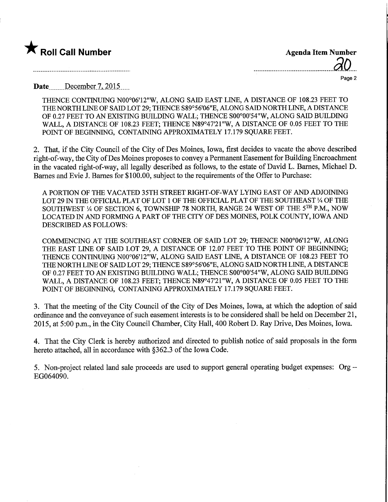

| <b>Agenda Item Number</b> |        |
|---------------------------|--------|
|                           | $-$ 20 |
|                           |        |

......

Page 2

Date.....December 7, 2015......

THENCE CONTDWING NOO°06'12"W, ALONG SAID EAST LINE, A DISTANCE OF 108.23 FEET TO THE NORTH LINE OF SAID LOT 29; THENCE S89°56'06"E, ALONG SAID NORTH LINE, A DISTANCE OF 0.27 FEET TO AN EXISTING BUILDING WALL; THENCE SOO°00'54"W, ALONG SAID BUILDING WALL, A DISTANCE OF 108.23 FEET; THENCE N89°47'21"W, A DISTANCE OF 0.05 FEET TO THE POINT OF BEGINNING, CONTAINING APPROXIMATELY 17.179 SQUARE FEET.

2. That, if the City Council of the City of Des Moines, Iowa, first decides to vacate the above described right-of-way, the City of Des Moines proposes to convey a Permanent Easement for Building Encroachment in the vacated right-of-way, all legally described as follows, to the estate of David L. Bames, Michael D. Bames and Evie J. Bames for \$100.00, subject to the requirements of the Offer to Purchase:

A PORTION OF THE VACATED 35TH STREET RIGHT-OF-WAY LYING EAST OF AND ADJOINING LOT 29 IN THE OFFICIAL PLAT OF LOT 1 OF THE OFFICIAL PLAT OF THE SOUTHEAST 1/4 OF THE SOUTHWEST 1/4 OF SECTION 6, TOWNSHIP 78 NORTH, RANGE 24 WEST OF THE 5TH P.M., NOW LOCATED IN AND FORMING A PART OF THE CITY OF DES MOINES, POLK COUNTY, IOWA AND DESCRIBED AS FOLLOWS:

COMMENCING AT THE SOUTHEAST CORNER OF SAID LOT 29; THENCE NOO°06'12"W, ALONG THE EAST LINE OF SAID LOT 29, A DISTANCE OF 12.07 FEET TO THE POINT OF BEGINNING; THENCE CONTINUNG NOO°06'12"W, ALONG SAID EAST LINE, A DISTANCE OF 108.23 FEET TO THE NORTH LINE OF SAID LOT 29; THENCE S89°56'06"E, ALONG SAID NORTH LINE, A DISTANCE OF 0.27 FEET TO AN EXISTING BUILDING WALL; THENCE SOO°00'54"W, ALONG SAID BUILDING WALL, A DISTANCE OF 108.23 FEET; THENCE N89°47'21"W, A DISTANCE OF 0.05 FEET TO THE POINT OF BEGINNING, CONTAINING APPROXIMATELY 17.179 SQUARE FEET.

3. That the meeting of the City Council of the City of Des Moines, Iowa, at which the adoption of said ordinance and the conveyance of such easement interests is to be considered shall be held on December 21, 2015, at 5:00 p.m., in the City Council Chamber, City Hall, 400 Robert D. Ray Drive, Des Moines, Iowa.

4. That the City Clerk is hereby authorized and directed to publish notice of said proposals in the form hereto attached, all in accordance with §362.3 of the Iowa Code.

5. Non-project related land sale proceeds are used to support general operating budget expenses: Org - EG064090.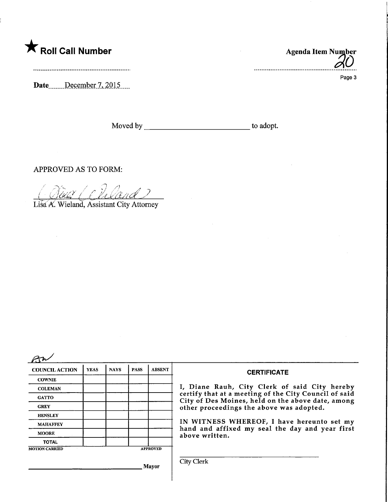

Date December 7, 2015

**Agenda Item Number** ...............................

Page 3

 $\sim$  to adopt.

**APPROVED AS TO FORM:** 

Lisa A. Wieland, Assistant City Attorney

**COUNCIL ACTION YEAS COWNIE COLEMAN GATTO** 

An

**GREY HENSLEY MAHAFFEY MOORE TOTAL** 

**NAYS** 

**PASS** 

**ABSENT** 

**MOTION CARRIED** 

**Mayor** 

**APPROVED** 

## **CERTIFICATE** I, Diane Rauh, City Clerk of said City hereby<br>certify that at a meeting of the City Council of said City of Des Moines, held on the above date, among other proceedings the above was adopted.

IN WITNESS WHEREOF, I have hereunto set my hand and affixed my seal the day and year first above written.

**City Clerk**